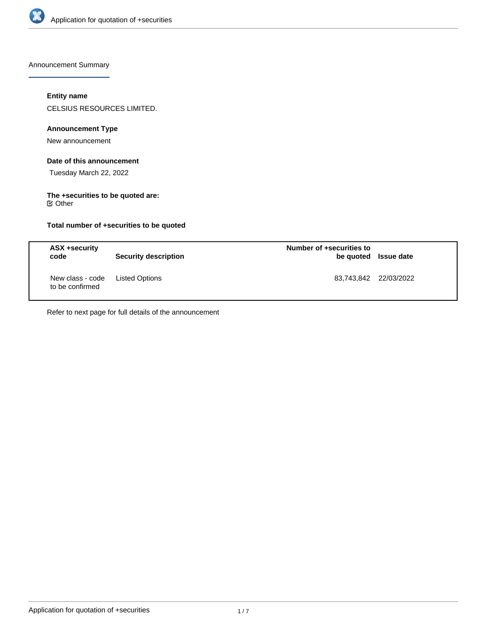

Announcement Summary

# **Entity name**

CELSIUS RESOURCES LIMITED.

# **Announcement Type**

New announcement

# **Date of this announcement**

Tuesday March 22, 2022

# **The +securities to be quoted are:**

 $⊜$  Other

# **Total number of +securities to be quoted**

| ASX +security<br>code               | <b>Security description</b> | Number of +securities to | be quoted Issue date  |
|-------------------------------------|-----------------------------|--------------------------|-----------------------|
| New class - code<br>to be confirmed | Listed Options              |                          | 83,743,842 22/03/2022 |

Refer to next page for full details of the announcement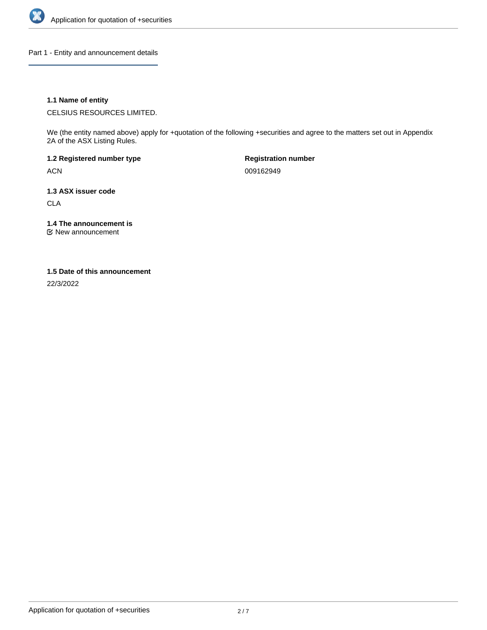

Part 1 - Entity and announcement details

# **1.1 Name of entity**

CELSIUS RESOURCES LIMITED.

We (the entity named above) apply for +quotation of the following +securities and agree to the matters set out in Appendix 2A of the ASX Listing Rules.

**1.2 Registered number type** ACN

**Registration number** 009162949

**1.3 ASX issuer code**

CLA

**1.4 The announcement is**

New announcement

### **1.5 Date of this announcement**

22/3/2022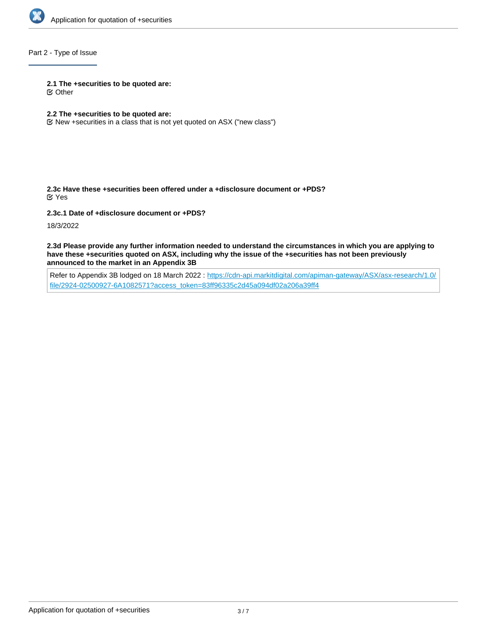

# Part 2 - Type of Issue

#### **2.1 The +securities to be quoted are:**

Other

# **2.2 The +securities to be quoted are:**

New +securities in a class that is not yet quoted on ASX ("new class")

**2.3c Have these +securities been offered under a +disclosure document or +PDS?** Yes

**2.3c.1 Date of +disclosure document or +PDS?**

18/3/2022

**2.3d Please provide any further information needed to understand the circumstances in which you are applying to have these +securities quoted on ASX, including why the issue of the +securities has not been previously announced to the market in an Appendix 3B**

Refer to Appendix 3B lodged on 18 March 2022 : [https://cdn-api.markitdigital.com/apiman-gateway/ASX/asx-research/1.0/](https://cdn-api.markitdigital.com/apiman-gateway/ASX/asx-research/1.0/file/2924-02500927-6A1082571?access_token=83ff96335c2d45a094df02a206a39ff4) [file/2924-02500927-6A1082571?access\\_token=83ff96335c2d45a094df02a206a39ff4](https://cdn-api.markitdigital.com/apiman-gateway/ASX/asx-research/1.0/file/2924-02500927-6A1082571?access_token=83ff96335c2d45a094df02a206a39ff4)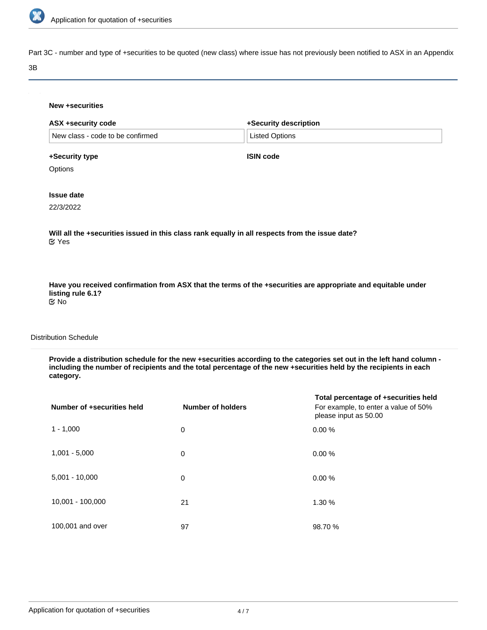

Part 3C - number and type of +securities to be quoted (new class) where issue has not previously been notified to ASX in an Appendix

#### 3B

|                                  | +Security description |  |
|----------------------------------|-----------------------|--|
| New class - code to be confirmed | <b>Listed Options</b> |  |
| +Security type                   | <b>ISIN code</b>      |  |
| Options                          |                       |  |
| <b>Issue date</b>                |                       |  |
| 22/3/2022                        |                       |  |

**Have you received confirmation from ASX that the terms of the +securities are appropriate and equitable under listing rule 6.1?** No

# Distribution Schedule

**Provide a distribution schedule for the new +securities according to the categories set out in the left hand column including the number of recipients and the total percentage of the new +securities held by the recipients in each category.**

| Number of +securities held | <b>Number of holders</b> | Total percentage of +securities held<br>For example, to enter a value of 50%<br>please input as 50.00 |
|----------------------------|--------------------------|-------------------------------------------------------------------------------------------------------|
| $1 - 1,000$                | 0                        | 0.00%                                                                                                 |
| $1,001 - 5,000$            | 0                        | 0.00%                                                                                                 |
| $5,001 - 10,000$           | 0                        | 0.00%                                                                                                 |
| 10,001 - 100,000           | 21                       | 1.30 %                                                                                                |
| 100,001 and over           | 97                       | 98.70 %                                                                                               |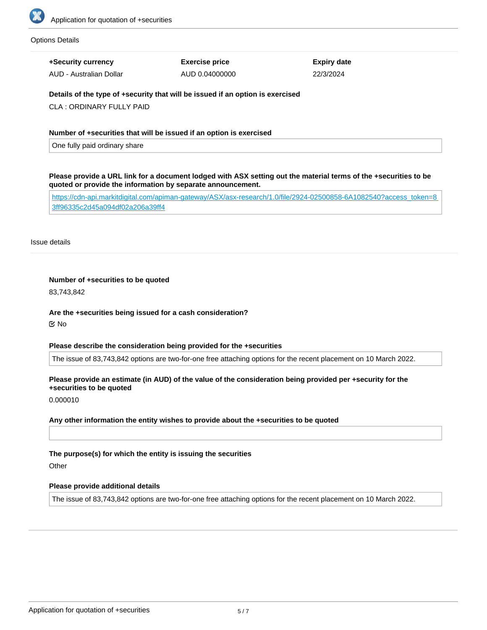

#### Options Details

**+Security currency**

AUD - Australian Dollar

**Exercise price** AUD 0.04000000 **Expiry date** 22/3/2024

**Details of the type of +security that will be issued if an option is exercised**

CLA : ORDINARY FULLY PAID

### **Number of +securities that will be issued if an option is exercised**

One fully paid ordinary share

**Please provide a URL link for a document lodged with ASX setting out the material terms of the +securities to be quoted or provide the information by separate announcement.**

[https://cdn-api.markitdigital.com/apiman-gateway/ASX/asx-research/1.0/file/2924-02500858-6A1082540?access\\_token=8](https://cdn-api.markitdigital.com/apiman-gateway/ASX/asx-research/1.0/file/2924-02500858-6A1082540?access_token=83ff96335c2d45a094df02a206a39ff4) [3ff96335c2d45a094df02a206a39ff4](https://cdn-api.markitdigital.com/apiman-gateway/ASX/asx-research/1.0/file/2924-02500858-6A1082540?access_token=83ff96335c2d45a094df02a206a39ff4)

Issue details

### **Number of +securities to be quoted**

83,743,842

### **Are the +securities being issued for a cash consideration?**

No

### **Please describe the consideration being provided for the +securities**

The issue of 83,743,842 options are two-for-one free attaching options for the recent placement on 10 March 2022.

# **Please provide an estimate (in AUD) of the value of the consideration being provided per +security for the +securities to be quoted**

0.000010

### **Any other information the entity wishes to provide about the +securities to be quoted**

### **The purpose(s) for which the entity is issuing the securities**

**Other** 

### **Please provide additional details**

The issue of 83,743,842 options are two-for-one free attaching options for the recent placement on 10 March 2022.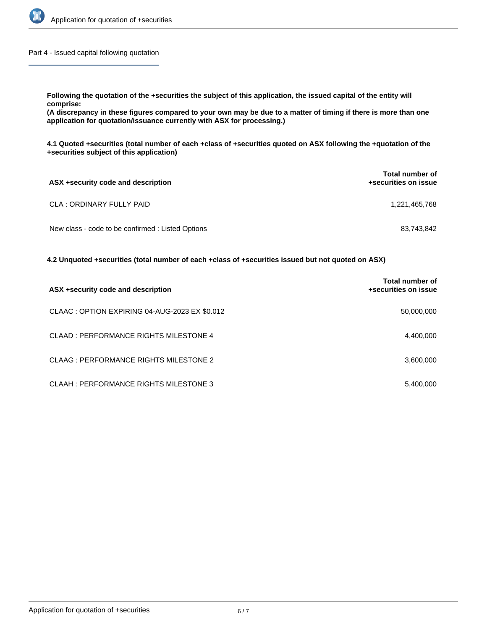

Part 4 - Issued capital following quotation

**Following the quotation of the +securities the subject of this application, the issued capital of the entity will comprise:**

**(A discrepancy in these figures compared to your own may be due to a matter of timing if there is more than one application for quotation/issuance currently with ASX for processing.)**

**4.1 Quoted +securities (total number of each +class of +securities quoted on ASX following the +quotation of the +securities subject of this application)**

| ASX +security code and description                | <b>Total number of</b><br>+securities on issue |
|---------------------------------------------------|------------------------------------------------|
| <b>CLA: ORDINARY FULLY PAID</b>                   | 1,221,465,768                                  |
| New class - code to be confirmed : Listed Options | 83.743.842                                     |

**4.2 Unquoted +securities (total number of each +class of +securities issued but not quoted on ASX)**

| ASX +security code and description            | Total number of<br>+securities on issue |
|-----------------------------------------------|-----------------------------------------|
| CLAAC: OPTION EXPIRING 04-AUG-2023 EX \$0.012 | 50,000,000                              |
| CLAAD: PERFORMANCE RIGHTS MILESTONE 4         | 4,400,000                               |
| CLAAG: PERFORMANCE RIGHTS MILESTONE 2         | 3,600,000                               |
| CLAAH: PERFORMANCE RIGHTS MILESTONE 3         | 5,400,000                               |